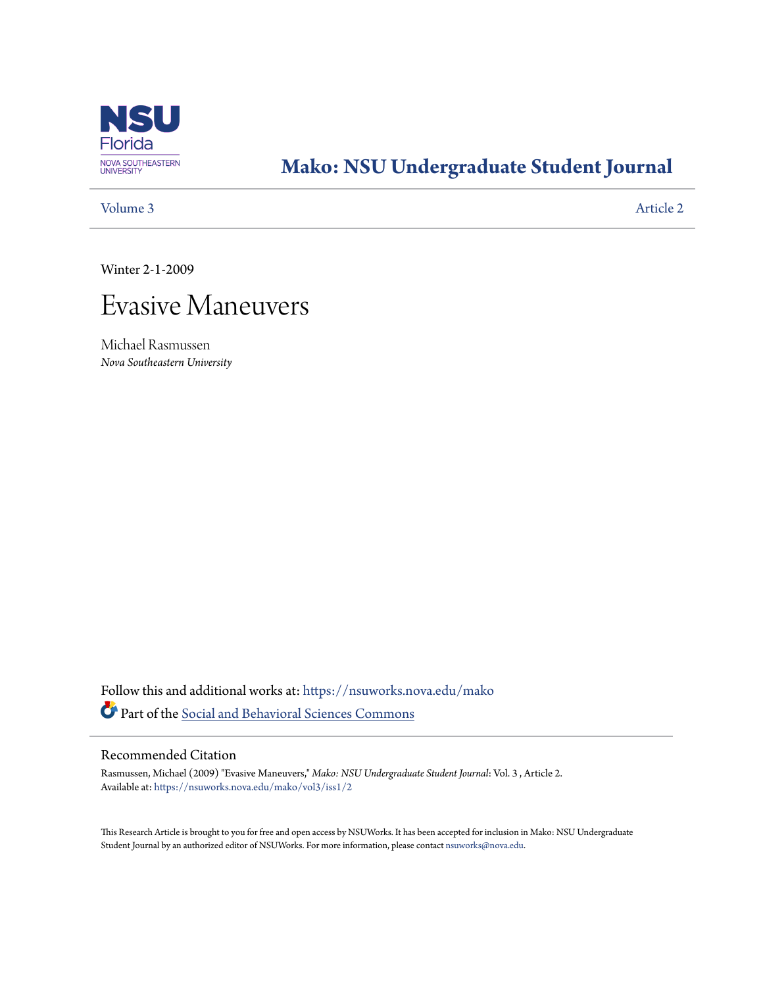

# **[Mako: NSU Undergraduate Student Journal](https://nsuworks.nova.edu/mako?utm_source=nsuworks.nova.edu%2Fmako%2Fvol3%2Fiss1%2F2&utm_medium=PDF&utm_campaign=PDFCoverPages)**

# [Volume 3](https://nsuworks.nova.edu/mako/vol3?utm_source=nsuworks.nova.edu%2Fmako%2Fvol3%2Fiss1%2F2&utm_medium=PDF&utm_campaign=PDFCoverPages) [Article 2](https://nsuworks.nova.edu/mako/vol3/iss1/2?utm_source=nsuworks.nova.edu%2Fmako%2Fvol3%2Fiss1%2F2&utm_medium=PDF&utm_campaign=PDFCoverPages)

Winter 2-1-2009

# Evasive Maneuvers

Michael Rasmussen *Nova Southeastern University*

Follow this and additional works at: [https://nsuworks.nova.edu/mako](https://nsuworks.nova.edu/mako?utm_source=nsuworks.nova.edu%2Fmako%2Fvol3%2Fiss1%2F2&utm_medium=PDF&utm_campaign=PDFCoverPages) Part of the [Social and Behavioral Sciences Commons](http://network.bepress.com/hgg/discipline/316?utm_source=nsuworks.nova.edu%2Fmako%2Fvol3%2Fiss1%2F2&utm_medium=PDF&utm_campaign=PDFCoverPages)

# Recommended Citation

Rasmussen, Michael (2009) "Evasive Maneuvers," *Mako: NSU Undergraduate Student Journal*: Vol. 3 , Article 2. Available at: [https://nsuworks.nova.edu/mako/vol3/iss1/2](https://nsuworks.nova.edu/mako/vol3/iss1/2?utm_source=nsuworks.nova.edu%2Fmako%2Fvol3%2Fiss1%2F2&utm_medium=PDF&utm_campaign=PDFCoverPages)

This Research Article is brought to you for free and open access by NSUWorks. It has been accepted for inclusion in Mako: NSU Undergraduate Student Journal by an authorized editor of NSUWorks. For more information, please contact [nsuworks@nova.edu](mailto:nsuworks@nova.edu).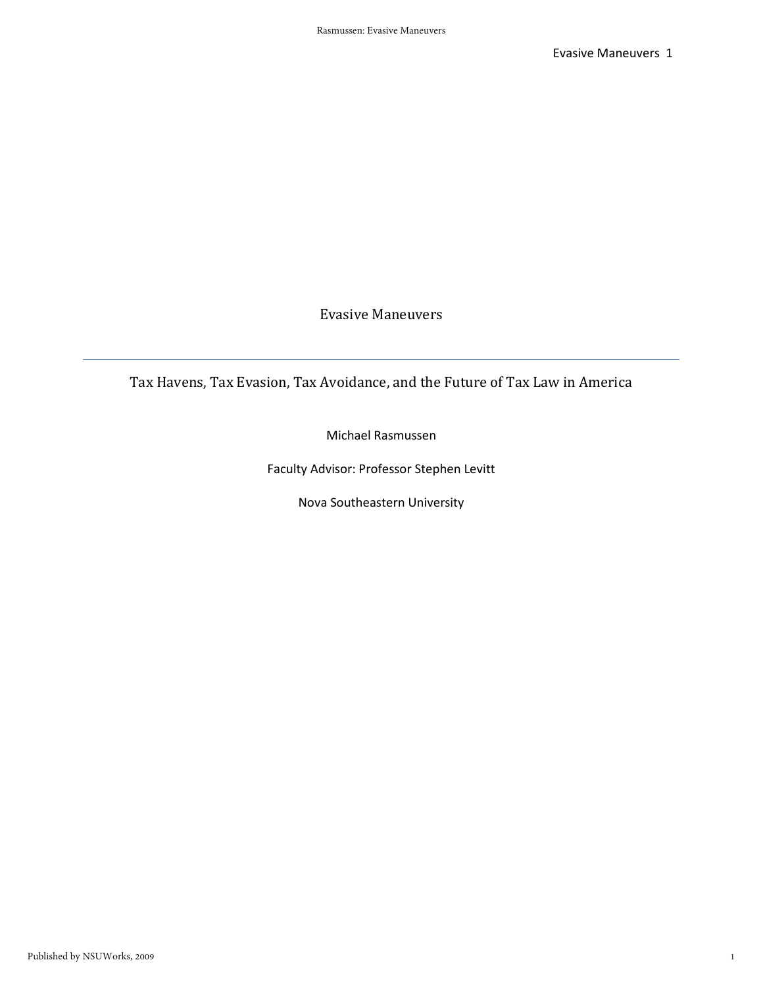Tax Havens, Tax Evasion, Tax Avoidance, and the Future of Tax Law in America

Michael Rasmussen

Faculty Advisor: Professor Stephen Levitt

Nova Southeastern University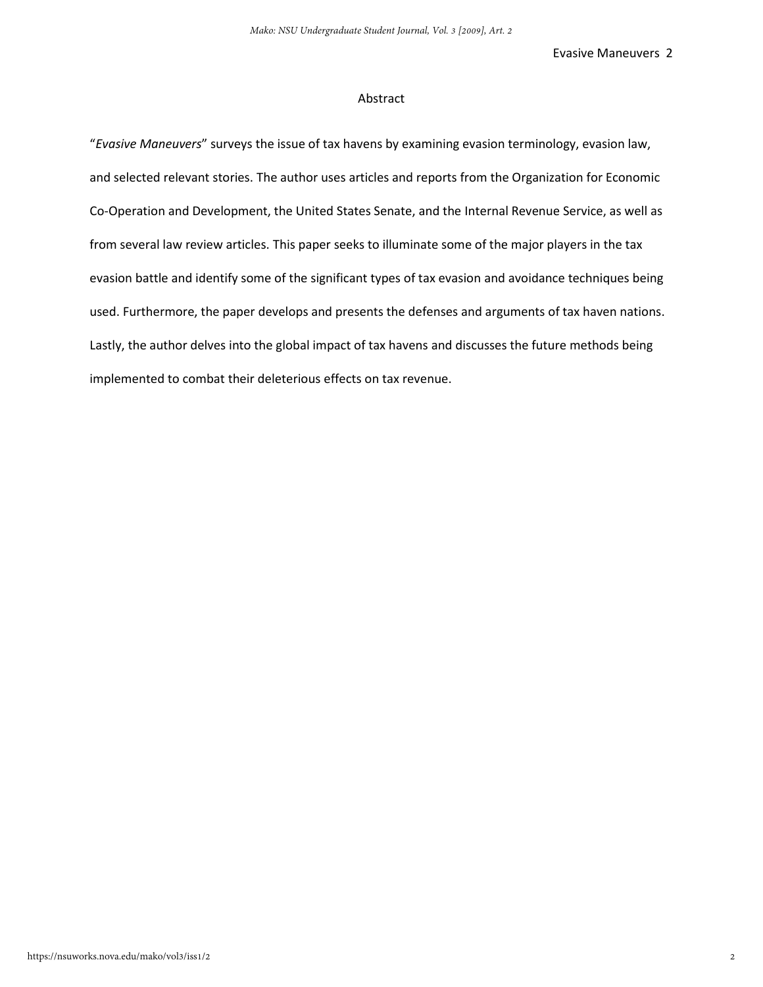#### Abstract

"*Evasive Maneuvers*" surveys the issue of tax havens by examining evasion terminology, evasion law, and selected relevant stories. The author uses articles and reports from the Organization for Economic Co-Operation and Development, the United States Senate, and the Internal Revenue Service, as well as from several law review articles. This paper seeks to illuminate some of the major players in the tax evasion battle and identify some of the significant types of tax evasion and avoidance techniques being used. Furthermore, the paper develops and presents the defenses and arguments of tax haven nations. Lastly, the author delves into the global impact of tax havens and discusses the future methods being implemented to combat their deleterious effects on tax revenue.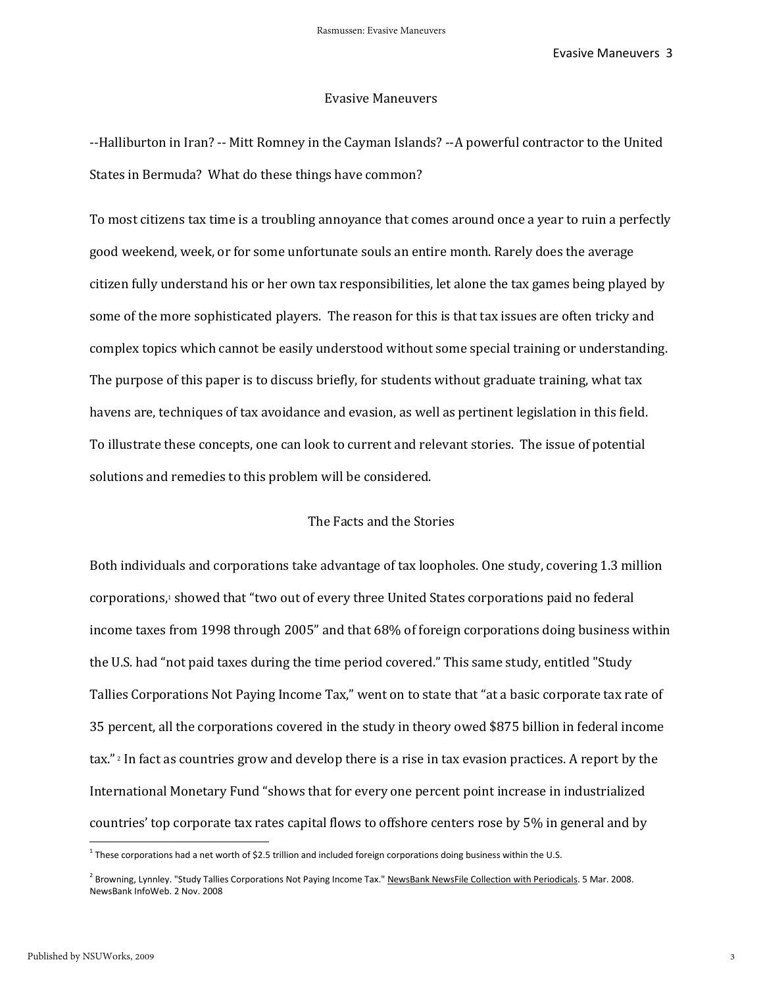#### Evasive Maneuvers

--Halliburton in Iran? -- Mitt Romney in the Cayman Islands? --A powerful contractor to the United States in Bermuda? What do these things have common?

To most citizens tax time is a troubling annoyance that comes around once a year to ruin a perfectly good weekend, week, or for some unfortunate souls an entire month. Rarely does the average citizen fully understand his or her own tax responsibilities, let alone the tax games being played by some of the more sophisticated players. The reason for this is that tax issues are often tricky and complex topics which cannot be easily understood without some special training or understanding. The purpose of this paper is to discuss briefly, for students without graduate training, what tax havens are, techniques of tax avoidance and evasion, as well as pertinent legislation in this field. To illustrate these concepts, one can look to current and relevant stories. The issue of potential solutions and remedies to this problem will be considered.

# The Facts and the Stories

Both individuals and corporations take advantage of tax loopholes. One study, covering 1.3 million corporations,<sup>1</sup> showed that "two out of every three United States corporations paid no federal income taxes from 1998 through 2005" and that 68% of foreign corporations doing business within the U.S. had "not paid taxes during the time period covered." This same study, entitled "Study Tallies Corporations Not Paying Income Tax," went on to state that "at a basic corporate tax rate of 35 percent, all the corporations covered in the study in theory owed \$875 billion in federal income tax." <sup>2</sup> In fact as countries grow and develop there is a rise in tax evasion practices. A report by the International Monetary Fund "shows that for every one percent point increase in industrialized countries' top corporate tax rates capital flows to offshore centers rose by 5% in general and by

l

<sup>&</sup>lt;sup>1</sup> These corporations had a net worth of \$2.5 trillion and included foreign corporations doing business within the U.S.

<sup>&</sup>lt;sup>2</sup> Browning, Lynnley. "Study Tallies Corporations Not Paying Income Tax." NewsBank NewsFile Collection with Periodicals. 5 Mar. 2008. NewsBank InfoWeb. 2 Nov. 2008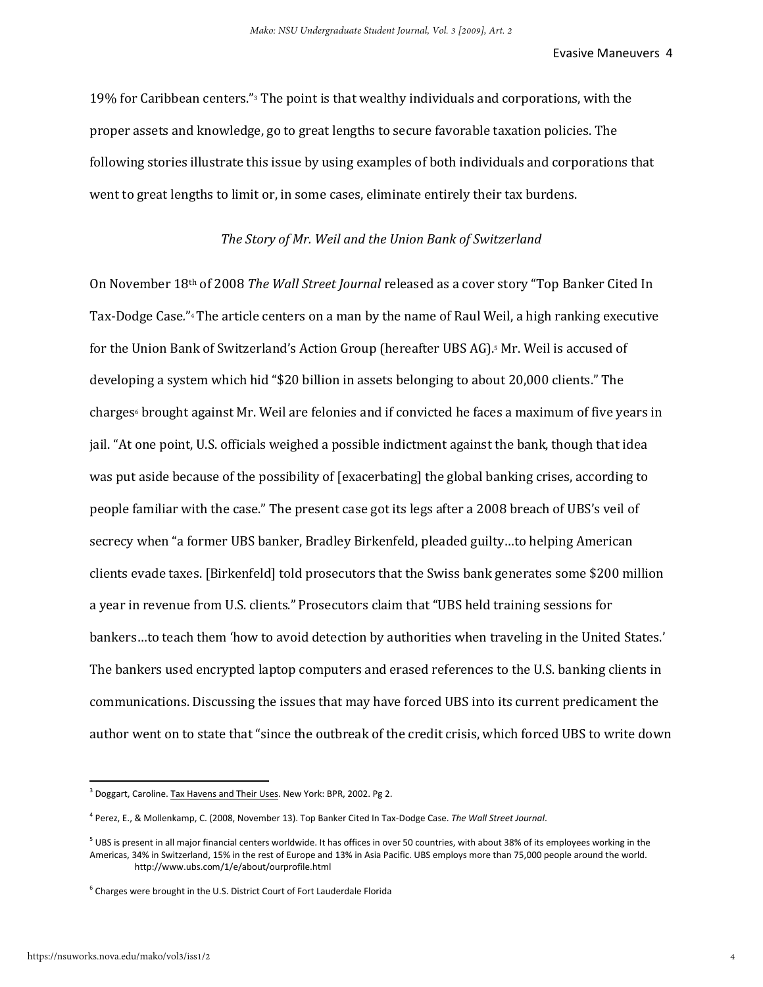19% for Caribbean centers."3 The point is that wealthy individuals and corporations, with the proper assets and knowledge, go to great lengths to secure favorable taxation policies. The following stories illustrate this issue by using examples of both individuals and corporations that went to great lengths to limit or, in some cases, eliminate entirely their tax burdens.

## *The Story of Mr. Weil and the Union Bank of Switzerland*

On November 18th of 2008 *The Wall Street Journal* released as a cover story "Top Banker Cited In Tax-Dodge Case*.*"<sup>4</sup> The article centers on a man by the name of Raul Weil, a high ranking executive for the Union Bank of Switzerland's Action Group (hereafter UBS AG).5 Mr. Weil is accused of developing a system which hid "\$20 billion in assets belonging to about 20,000 clients." The charges<sup>6</sup> brought against Mr. Weil are felonies and if convicted he faces a maximum of five years in jail. "At one point, U.S. officials weighed a possible indictment against the bank, though that idea was put aside because of the possibility of [exacerbating] the global banking crises, according to people familiar with the case." The present case got its legs after a 2008 breach of UBS's veil of secrecy when "a former UBS banker, Bradley Birkenfeld, pleaded guilty…to helping American clients evade taxes. [Birkenfeld] told prosecutors that the Swiss bank generates some \$200 million a year in revenue from U.S. clients." Prosecutors claim that "UBS held training sessions for bankers…to teach them 'how to avoid detection by authorities when traveling in the United States.' The bankers used encrypted laptop computers and erased references to the U.S. banking clients in communications. Discussing the issues that may have forced UBS into its current predicament the author went on to state that "since the outbreak of the credit crisis, which forced UBS to write down

<sup>&</sup>lt;sup>3</sup> Doggart, Caroline. Tax Havens and Their Uses. New York: BPR, 2002. Pg 2.

<sup>4</sup> Perez, E., & Mollenkamp, C. (2008, November 13). Top Banker Cited In Tax-Dodge Case. *The Wall Street Journal*.

 $^5$  UBS is present in all major financial centers worldwide. It has offices in over 50 countries, with about 38% of its employees working in the Americas, 34% in Switzerland, 15% in the rest of Europe and 13% in Asia Pacific. UBS employs more than 75,000 people around the world. http://www.ubs.com/1/e/about/ourprofile.html

 $6$  Charges were brought in the U.S. District Court of Fort Lauderdale Florida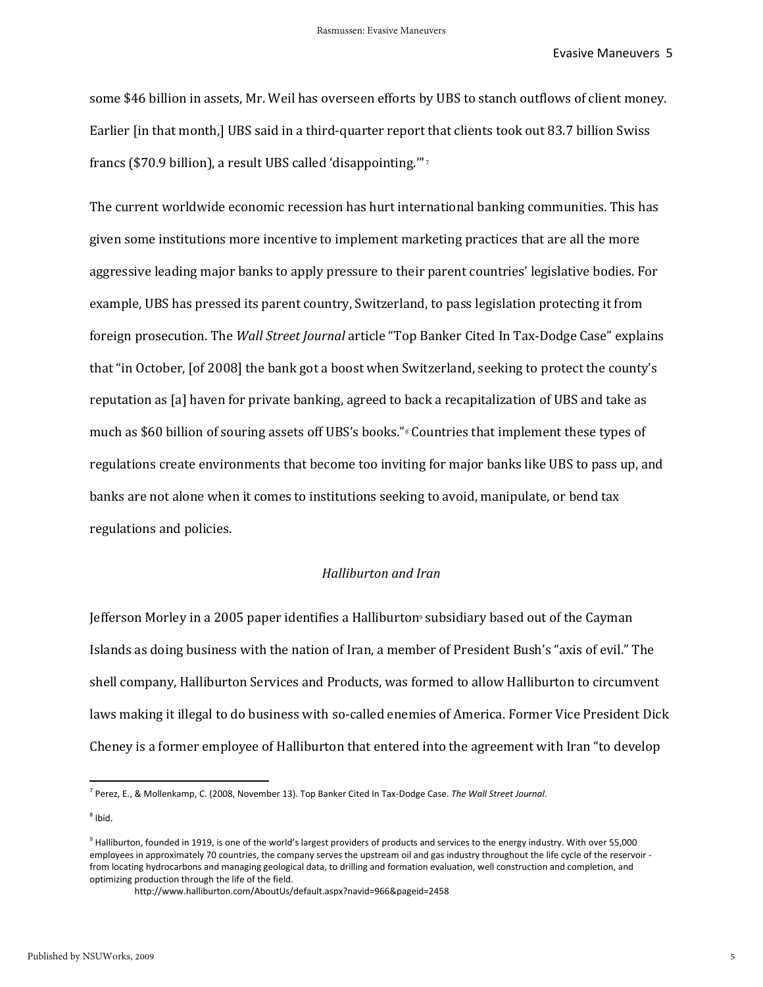some \$46 billion in assets, Mr. Weil has overseen efforts by UBS to stanch outflows of client money. Earlier [in that month,] UBS said in a third-quarter report that clients took out 83.7 billion Swiss francs (\$70.9 billion), a result UBS called 'disappointing.'" <sup>7</sup>

The current worldwide economic recession has hurt international banking communities. This has given some institutions more incentive to implement marketing practices that are all the more aggressive leading major banks to apply pressure to their parent countries' legislative bodies. For example, UBS has pressed its parent country, Switzerland, to pass legislation protecting it from foreign prosecution. The *Wall Street Journal* article "Top Banker Cited In Tax-Dodge Case" explains that "in October, [of 2008] the bank got a boost when Switzerland, seeking to protect the county's reputation as [a] haven for private banking, agreed to back a recapitalization of UBS and take as much as \$60 billion of souring assets off UBS's books."8 Countries that implement these types of regulations create environments that become too inviting for major banks like UBS to pass up, and banks are not alone when it comes to institutions seeking to avoid, manipulate, or bend tax regulations and policies.

#### *Halliburton and Iran*

Jefferson Morley in a 2005 paper identifies a Halliburton<sup>9</sup> subsidiary based out of the Cayman Islands as doing business with the nation of Iran, a member of President Bush's "axis of evil." The shell company, Halliburton Services and Products, was formed to allow Halliburton to circumvent laws making it illegal to do business with so-called enemies of America. Former Vice President Dick Cheney is a former employee of Halliburton that entered into the agreement with Iran "to develop

 $^8$  Ibid.

<sup>7</sup> Perez, E., & Mollenkamp, C. (2008, November 13). Top Banker Cited In Tax-Dodge Case. *The Wall Street Journal*.

 $^9$  Halliburton, founded in 1919, is one of the world's largest providers of products and services to the energy industry. With over 55,000 employees in approximately 70 countries, the company serves the upstream oil and gas industry throughout the life cycle of the reservoir from locating hydrocarbons and managing geological data, to drilling and formation evaluation, well construction and completion, and optimizing production through the life of the field.

http://www.halliburton.com/AboutUs/default.aspx?navid=966&pageid=2458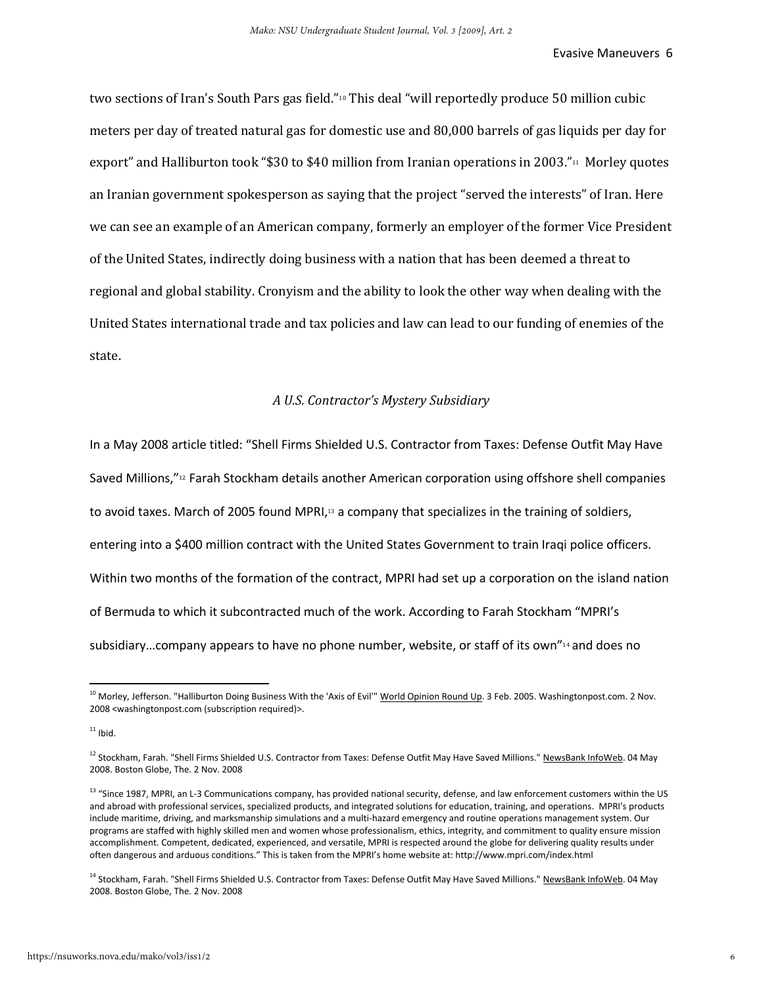two sections of Iran's South Pars gas field."10 This deal "will reportedly produce 50 million cubic meters per day of treated natural gas for domestic use and 80,000 barrels of gas liquids per day for export" and Halliburton took "\$30 to \$40 million from Iranian operations in 2003."<sup>11</sup> Morley quotes an Iranian government spokesperson as saying that the project "served the interests" of Iran. Here we can see an example of an American company, formerly an employer of the former Vice President of the United States, indirectly doing business with a nation that has been deemed a threat to regional and global stability. Cronyism and the ability to look the other way when dealing with the United States international trade and tax policies and law can lead to our funding of enemies of the state.

#### *A U.S. Contractor's Mystery Subsidiary*

In a May 2008 article titled: "Shell Firms Shielded U.S. Contractor from Taxes: Defense Outfit May Have Saved Millions,"<sup>12</sup> Farah Stockham details another American corporation using offshore shell companies to avoid taxes. March of 2005 found MPRI,<sup>13</sup> a company that specializes in the training of soldiers, entering into a \$400 million contract with the United States Government to train Iraqi police officers. Within two months of the formation of the contract, MPRI had set up a corporation on the island nation of Bermuda to which it subcontracted much of the work. According to Farah Stockham "MPRI's subsidiary…company appears to have no phone number, website, or staff of its own"<sup>14</sup> and does no

<sup>&</sup>lt;sup>10</sup> Morley, Jefferson. "Halliburton Doing Business With the 'Axis of Evil'" World Opinion Round Up. 3 Feb. 2005. Washingtonpost.com. 2 Nov. 2008 <washingtonpost.com (subscription required)>.

 $11$  Ibid.

<sup>&</sup>lt;sup>12</sup> Stockham, Farah. "Shell Firms Shielded U.S. Contractor from Taxes: Defense Outfit May Have Saved Millions." NewsBank InfoWeb. 04 May 2008. Boston Globe, The. 2 Nov. 2008

<sup>&</sup>lt;sup>13</sup> "Since 1987, MPRI, an L-3 Communications company, has provided national security, defense, and law enforcement customers within the US and abroad with professional services, specialized products, and integrated solutions for education, training, and operations. MPRI's products include maritime, driving, and marksmanship simulations and a multi-hazard emergency and routine operations management system. Our programs are staffed with highly skilled men and women whose professionalism, ethics, integrity, and commitment to quality ensure mission accomplishment. Competent, dedicated, experienced, and versatile, MPRI is respected around the globe for delivering quality results under often dangerous and arduous conditions." This is taken from the MPRI's home website at: http://www.mpri.com/index.html

<sup>&</sup>lt;sup>14</sup> Stockham, Farah. "Shell Firms Shielded U.S. Contractor from Taxes: Defense Outfit May Have Saved Millions." NewsBank InfoWeb. 04 May 2008. Boston Globe, The. 2 Nov. 2008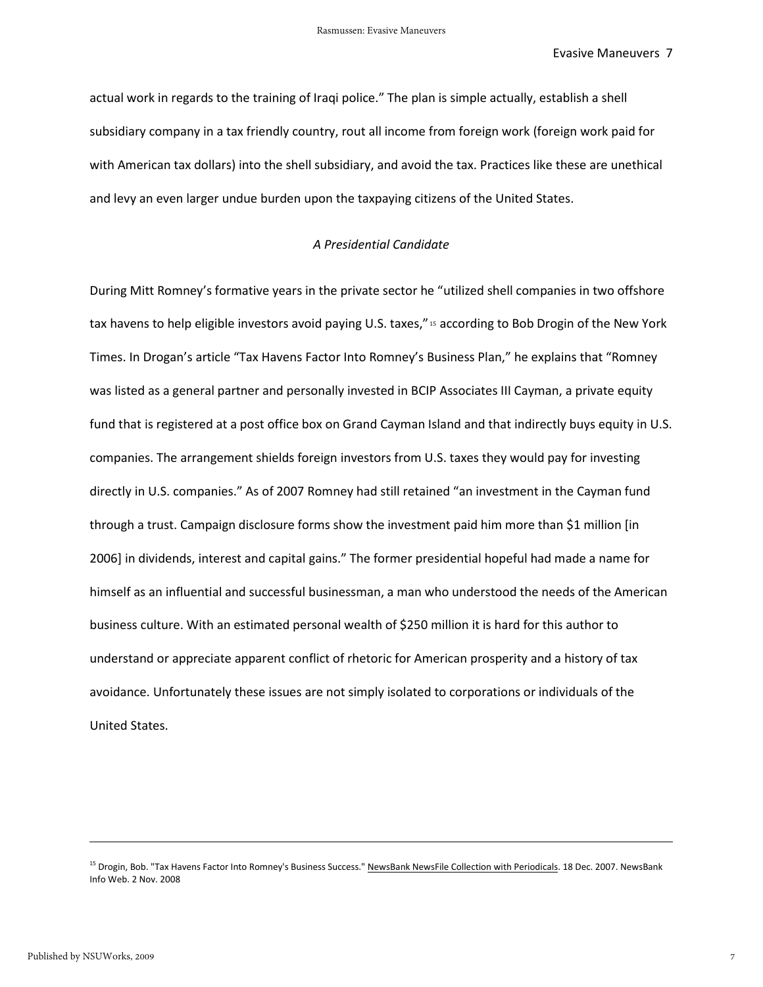actual work in regards to the training of Iraqi police." The plan is simple actually, establish a shell subsidiary company in a tax friendly country, rout all income from foreign work (foreign work paid for with American tax dollars) into the shell subsidiary, and avoid the tax. Practices like these are unethical and levy an even larger undue burden upon the taxpaying citizens of the United States.

#### *A Presidential Candidate*

During Mitt Romney's formative years in the private sector he "utilized shell companies in two offshore tax havens to help eligible investors avoid paying U.S. taxes," <sup>15</sup> according to Bob Drogin of the New York Times. In Drogan's article "Tax Havens Factor Into Romney's Business Plan," he explains that "Romney was listed as a general partner and personally invested in BCIP Associates III Cayman, a private equity fund that is registered at a post office box on Grand Cayman Island and that indirectly buys equity in U.S. companies. The arrangement shields foreign investors from U.S. taxes they would pay for investing directly in U.S. companies." As of 2007 Romney had still retained "an investment in the Cayman fund through a trust. Campaign disclosure forms show the investment paid him more than \$1 million [in 2006] in dividends, interest and capital gains." The former presidential hopeful had made a name for himself as an influential and successful businessman, a man who understood the needs of the American business culture. With an estimated personal wealth of \$250 million it is hard for this author to understand or appreciate apparent conflict of rhetoric for American prosperity and a history of tax avoidance. Unfortunately these issues are not simply isolated to corporations or individuals of the United States.

l

<sup>&</sup>lt;sup>15</sup> Drogin, Bob. "Tax Havens Factor Into Romney's Business Success." NewsBank NewsFile Collection with Periodicals. 18 Dec. 2007. NewsBank Info Web. 2 Nov. 2008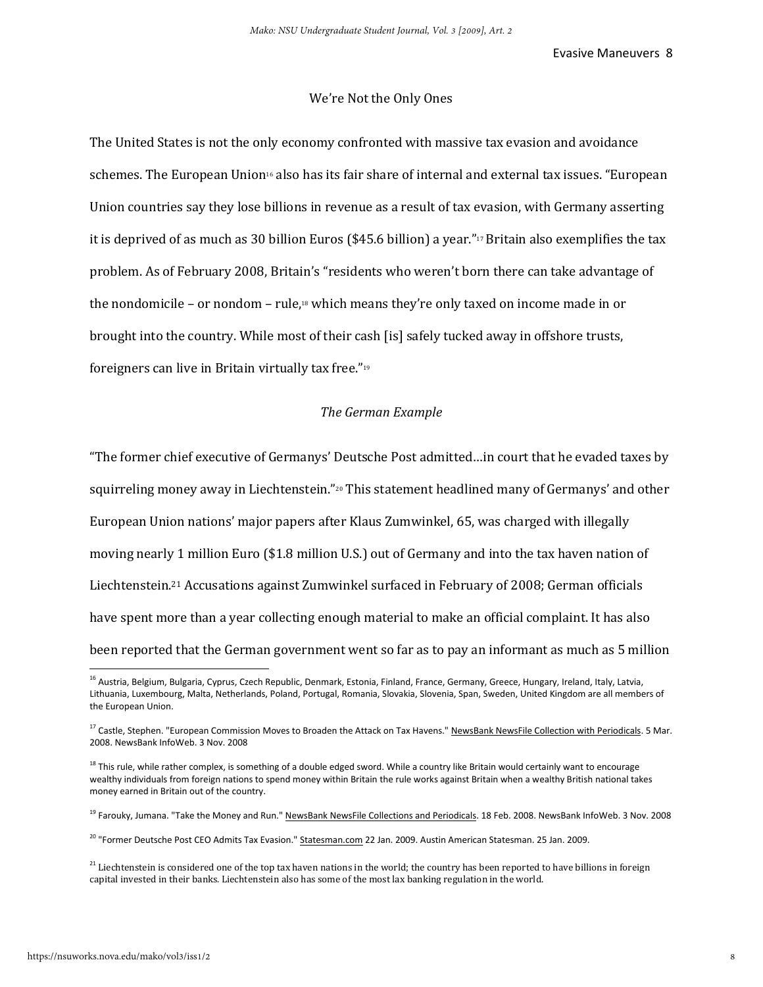#### We're Not the Only Ones

The United States is not the only economy confronted with massive tax evasion and avoidance schemes. The European Union<sup>16</sup> also has its fair share of internal and external tax issues. "European Union countries say they lose billions in revenue as a result of tax evasion, with Germany asserting it is deprived of as much as 30 billion Euros (\$45.6 billion) a year."<sup>17</sup> Britain also exemplifies the tax problem. As of February 2008, Britain's "residents who weren't born there can take advantage of the nondomicile – or nondom – rule,<sup>18</sup> which means they're only taxed on income made in or brought into the country. While most of their cash [is] safely tucked away in offshore trusts, foreigners can live in Britain virtually tax free."<sup>19</sup>

# *The German Example*

"The former chief executive of Germanys' Deutsche Post admitted…in court that he evaded taxes by squirreling money away in Liechtenstein."20 This statement headlined many of Germanys' and other European Union nations' major papers after Klaus Zumwinkel, 65, was charged with illegally moving nearly 1 million Euro (\$1.8 million U.S.) out of Germany and into the tax haven nation of Liechtenstein.21 Accusations against Zumwinkel surfaced in February of 2008; German officials have spent more than a year collecting enough material to make an official complaint. It has also been reported that the German government went so far as to pay an informant as much as 5 million

<sup>&</sup>lt;sup>16</sup> Austria, Belgium, Bulgaria, Cyprus, Czech Republic, Denmark, Estonia, Finland, France, Germany, Greece, Hungary, Ireland, Italy, Latvia, Lithuania, Luxembourg, Malta, Netherlands, Poland, Portugal, Romania, Slovakia, Slovenia, Span, Sweden, United Kingdom are all members of the European Union.

<sup>&</sup>lt;sup>17</sup> Castle, Stephen. "European Commission Moves to Broaden the Attack on Tax Havens." NewsBank NewsFile Collection with Periodicals. 5 Mar. 2008. NewsBank InfoWeb. 3 Nov. 2008

<sup>&</sup>lt;sup>18</sup> This rule, while rather complex, is something of a double edged sword. While a country like Britain would certainly want to encourage wealthy individuals from foreign nations to spend money within Britain the rule works against Britain when a wealthy British national takes money earned in Britain out of the country.

<sup>&</sup>lt;sup>19</sup> Farouky, Jumana. "Take the Money and Run." NewsBank NewsFile Collections and Periodicals. 18 Feb. 2008. NewsBank InfoWeb. 3 Nov. 2008

<sup>&</sup>lt;sup>20</sup> "Former Deutsche Post CEO Admits Tax Evasion." Statesman.com 22 Jan. 2009. Austin American Statesman. 25 Jan. 2009.

 $^{21}$  Liechtenstein is considered one of the top tax haven nations in the world; the country has been reported to have billions in foreign capital invested in their banks. Liechtenstein also has some of the most lax banking regulation in the world.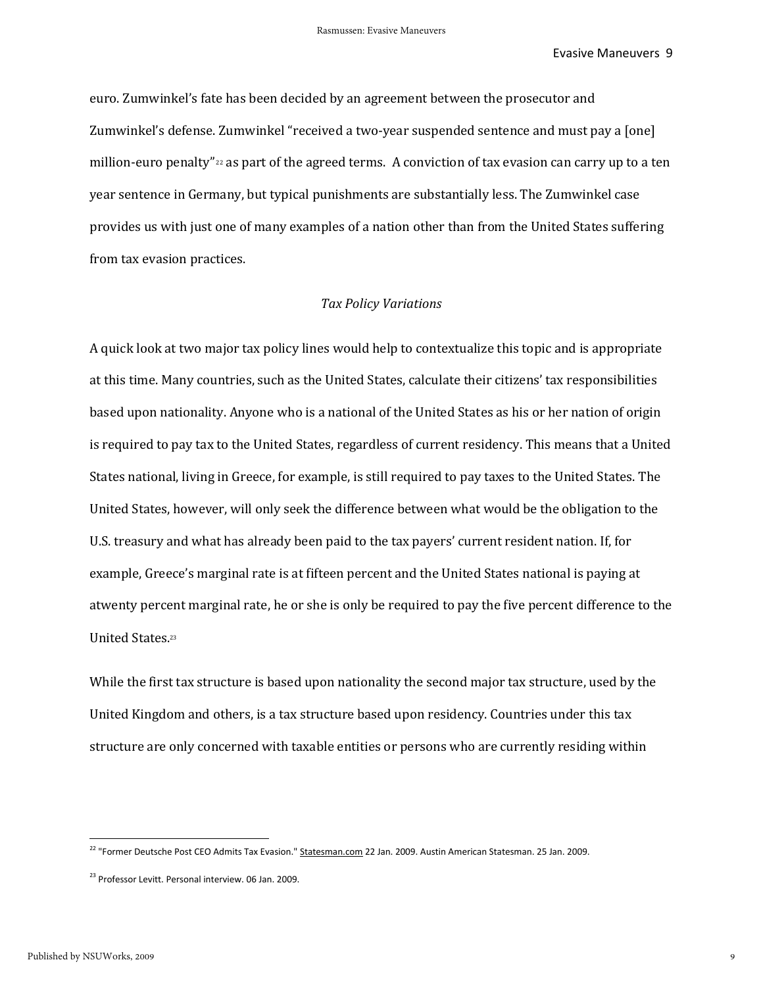euro. Zumwinkel's fate has been decided by an agreement between the prosecutor and Zumwinkel's defense. Zumwinkel "received a two-year suspended sentence and must pay a [one] million-euro penalty" 22 as part of the agreed terms. A conviction of tax evasion can carry up to a ten year sentence in Germany, but typical punishments are substantially less. The Zumwinkel case provides us with just one of many examples of a nation other than from the United States suffering from tax evasion practices.

#### *Tax Policy Variations*

A quick look at two major tax policy lines would help to contextualize this topic and is appropriate at this time. Many countries, such as the United States, calculate their citizens' tax responsibilities based upon nationality. Anyone who is a national of the United States as his or her nation of origin is required to pay tax to the United States, regardless of current residency. This means that a United States national, living in Greece, for example, is still required to pay taxes to the United States. The United States, however, will only seek the difference between what would be the obligation to the U.S. treasury and what has already been paid to the tax payers' current resident nation. If, for example, Greece's marginal rate is at fifteen percent and the United States national is paying at atwenty percent marginal rate, he or she is only be required to pay the five percent difference to the United States.<sup>23</sup>

While the first tax structure is based upon nationality the second major tax structure, used by the United Kingdom and others, is a tax structure based upon residency. Countries under this tax structure are only concerned with taxable entities or persons who are currently residing within

<sup>&</sup>lt;sup>22</sup> "Former Deutsche Post CEO Admits Tax Evasion." Statesman.com 22 Jan. 2009. Austin American Statesman. 25 Jan. 2009.

<sup>&</sup>lt;sup>23</sup> Professor Levitt. Personal interview. 06 Jan. 2009.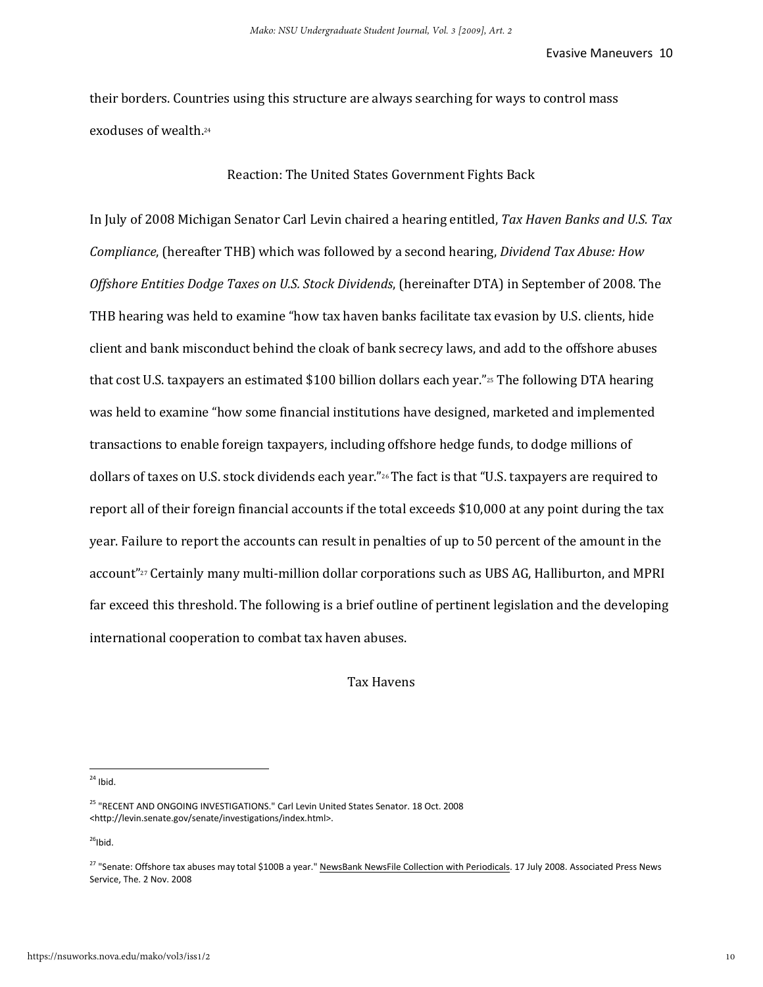their borders. Countries using this structure are always searching for ways to control mass exoduses of wealth.<sup>24</sup>

#### Reaction: The United States Government Fights Back

In July of 2008 Michigan Senator Carl Levin chaired a hearing entitled, *Tax Haven Banks and U.S. Tax Compliance*, (hereafter THB) which was followed by a second hearing, *Dividend Tax Abuse: How Offshore Entities Dodge Taxes on U.S. Stock Dividends*, (hereinafter DTA) in September of 2008. The THB hearing was held to examine "how tax haven banks facilitate tax evasion by U.S. clients, hide client and bank misconduct behind the cloak of bank secrecy laws, and add to the offshore abuses that cost U.S. taxpayers an estimated \$100 billion dollars each year."25 The following DTA hearing was held to examine "how some financial institutions have designed, marketed and implemented transactions to enable foreign taxpayers, including offshore hedge funds, to dodge millions of dollars of taxes on U.S. stock dividends each year."<sup>26</sup> The fact is that "U.S. taxpayers are required to report all of their foreign financial accounts if the total exceeds \$10,000 at any point during the tax year. Failure to report the accounts can result in penalties of up to 50 percent of the amount in the account"<sup>27</sup> Certainly many multi-million dollar corporations such as UBS AG, Halliburton, and MPRI far exceed this threshold. The following is a brief outline of pertinent legislation and the developing international cooperation to combat tax haven abuses.

Tax Havens

 $24$  Ibid.

 $\overline{\phantom{a}}$ 

 $26$ Ibid.

<sup>25</sup> "RECENT AND ONGOING INVESTIGATIONS." Carl Levin United States Senator. 18 Oct. 2008 <http://levin.senate.gov/senate/investigations/index.html>.

<sup>&</sup>lt;sup>27</sup> "Senate: Offshore tax abuses may total \$100B a year." NewsBank NewsFile Collection with Periodicals. 17 July 2008. Associated Press News Service, The. 2 Nov. 2008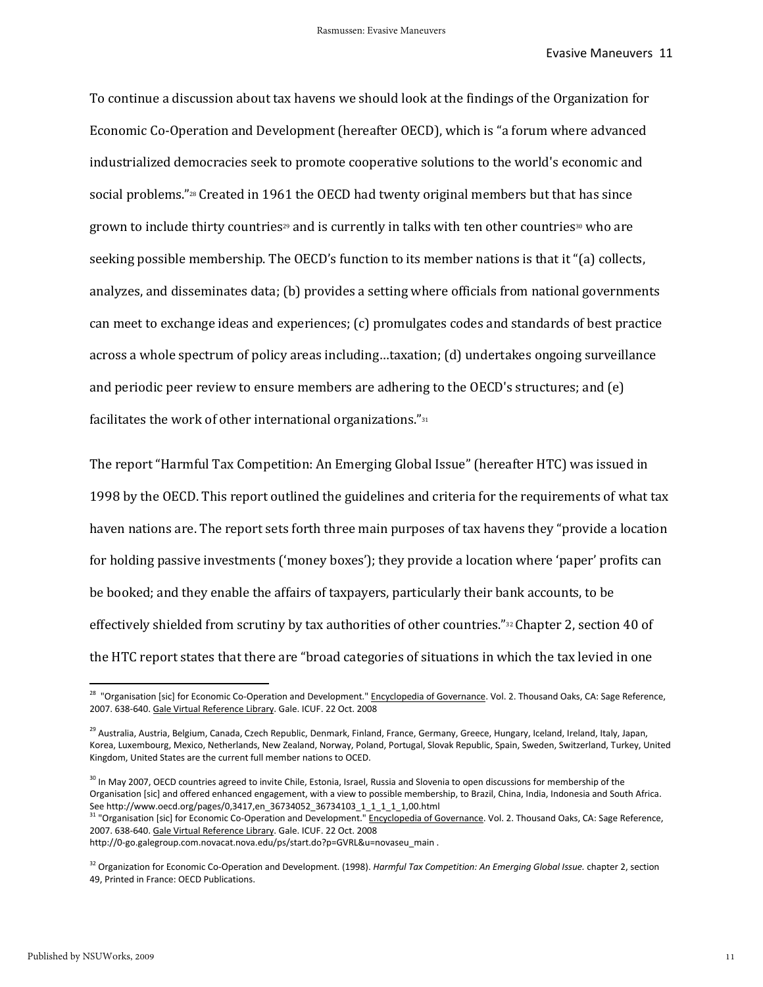To continue a discussion about tax havens we should look at the findings of the Organization for Economic Co-Operation and Development (hereafter OECD), which is "a forum where advanced industrialized democracies seek to promote cooperative solutions to the world's economic and social problems."<sup>28</sup> Created in 1961 the OECD had twenty original members but that has since grown to include thirty countries<sup>29</sup> and is currently in talks with ten other countries<sup>30</sup> who are seeking possible membership. The OECD's function to its member nations is that it "(a) collects, analyzes, and disseminates data; (b) provides a setting where officials from national governments can meet to exchange ideas and experiences; (c) promulgates codes and standards of best practice across a whole spectrum of policy areas including…taxation; (d) undertakes ongoing surveillance and periodic peer review to ensure members are adhering to the OECD's structures; and (e) facilitates the work of other international organizations."<sup>31</sup>

The report "Harmful Tax Competition: An Emerging Global Issue" (hereafter HTC) was issued in 1998 by the OECD. This report outlined the guidelines and criteria for the requirements of what tax haven nations are. The report sets forth three main purposes of tax havens they "provide a location for holding passive investments ('money boxes'); they provide a location where 'paper' profits can be booked; and they enable the affairs of taxpayers, particularly their bank accounts, to be effectively shielded from scrutiny by tax authorities of other countries."<sup>32</sup> Chapter 2, section 40 of the HTC report states that there are "broad categories of situations in which the tax levied in one

<sup>&</sup>lt;sup>28</sup> "Organisation [sic] for Economic Co-Operation and Development." Encyclopedia of Governance. Vol. 2. Thousand Oaks, CA: Sage Reference, 2007. 638-640. Gale Virtual Reference Library. Gale. ICUF. 22 Oct. 2008

<sup>&</sup>lt;sup>29</sup> Australia, Austria, Belgium, Canada, Czech Republic, Denmark, Finland, France, Germany, Greece, Hungary, Iceland, Ireland, Italy, Japan, Korea, Luxembourg, Mexico, Netherlands, New Zealand, Norway, Poland, Portugal, Slovak Republic, Spain, Sweden, Switzerland, Turkey, United Kingdom, United States are the current full member nations to OCED.

<sup>&</sup>lt;sup>30</sup> In May 2007, OECD countries agreed to invite Chile, Estonia, Israel, Russia and Slovenia to open discussions for membership of the Organisation [sic] and offered enhanced engagement, with a view to possible membership, to Brazil, China, India, Indonesia and South Africa. See http://www.oecd.org/pages/0,3417,en\_36734052\_36734103\_1\_1\_1\_1\_1,00.html

<sup>&</sup>lt;sup>31</sup> "Organisation [sic] for Economic Co-Operation and Development." Encyclopedia of Governance. Vol. 2. Thousand Oaks, CA: Sage Reference, 2007. 638-640. Gale Virtual Reference Library. Gale. ICUF. 22 Oct. 2008

http://0-go.galegroup.com.novacat.nova.edu/ps/start.do?p=GVRL&u=novaseu\_main .

<sup>32</sup> Organization for Economic Co-Operation and Development. (1998). *Harmful Tax Competition: An Emerging Global Issue.* chapter 2, section 49, Printed in France: OECD Publications.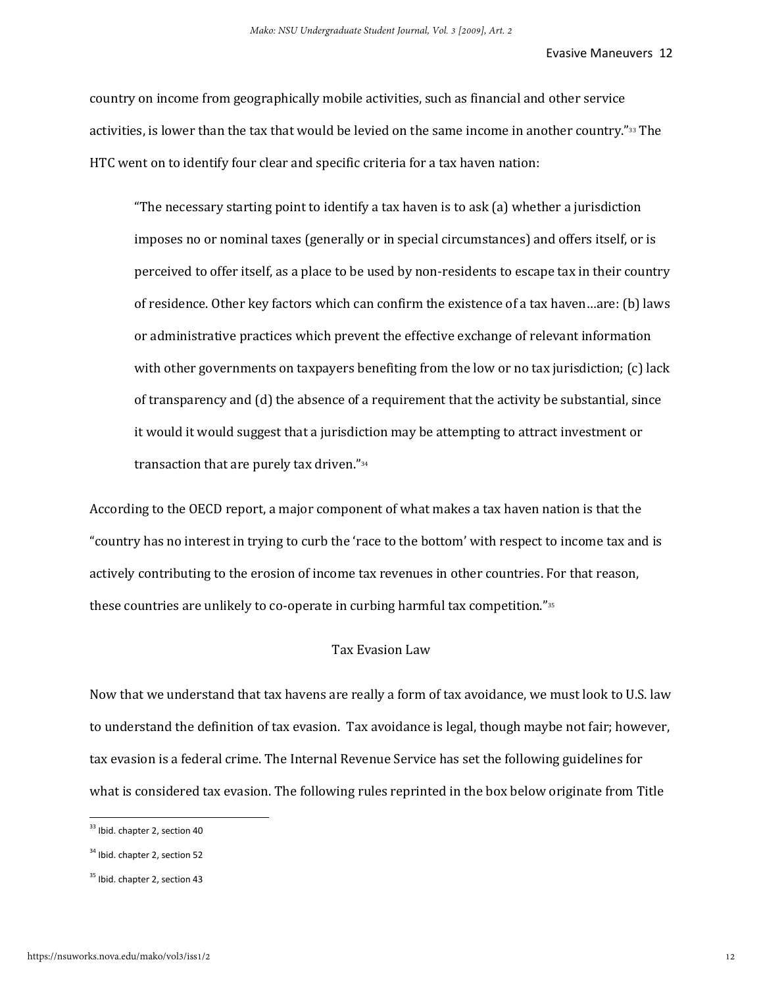country on income from geographically mobile activities, such as financial and other service activities, is lower than the tax that would be levied on the same income in another country."33 The HTC went on to identify four clear and specific criteria for a tax haven nation:

"The necessary starting point to identify a tax haven is to ask (a) whether a jurisdiction imposes no or nominal taxes (generally or in special circumstances) and offers itself, or is perceived to offer itself, as a place to be used by non-residents to escape tax in their country of residence. Other key factors which can confirm the existence of a tax haven…are: (b) laws or administrative practices which prevent the effective exchange of relevant information with other governments on taxpayers benefiting from the low or no tax jurisdiction; (c) lack of transparency and (d) the absence of a requirement that the activity be substantial, since it would it would suggest that a jurisdiction may be attempting to attract investment or transaction that are purely tax driven."<sup>34</sup>

According to the OECD report, a major component of what makes a tax haven nation is that the "country has no interest in trying to curb the 'race to the bottom' with respect to income tax and is actively contributing to the erosion of income tax revenues in other countries. For that reason, these countries are unlikely to co-operate in curbing harmful tax competition."<sup>35</sup>

#### Tax Evasion Law

Now that we understand that tax havens are really a form of tax avoidance, we must look to U.S. law to understand the definition of tax evasion. Tax avoidance is legal, though maybe not fair; however, tax evasion is a federal crime. The Internal Revenue Service has set the following guidelines for what is considered tax evasion. The following rules reprinted in the box below originate from Title

<sup>&</sup>lt;sup>33</sup> Ibid. chapter 2, section 40

<sup>&</sup>lt;sup>34</sup> Ibid. chapter 2, section 52

<sup>&</sup>lt;sup>35</sup> Ibid. chapter 2, section 43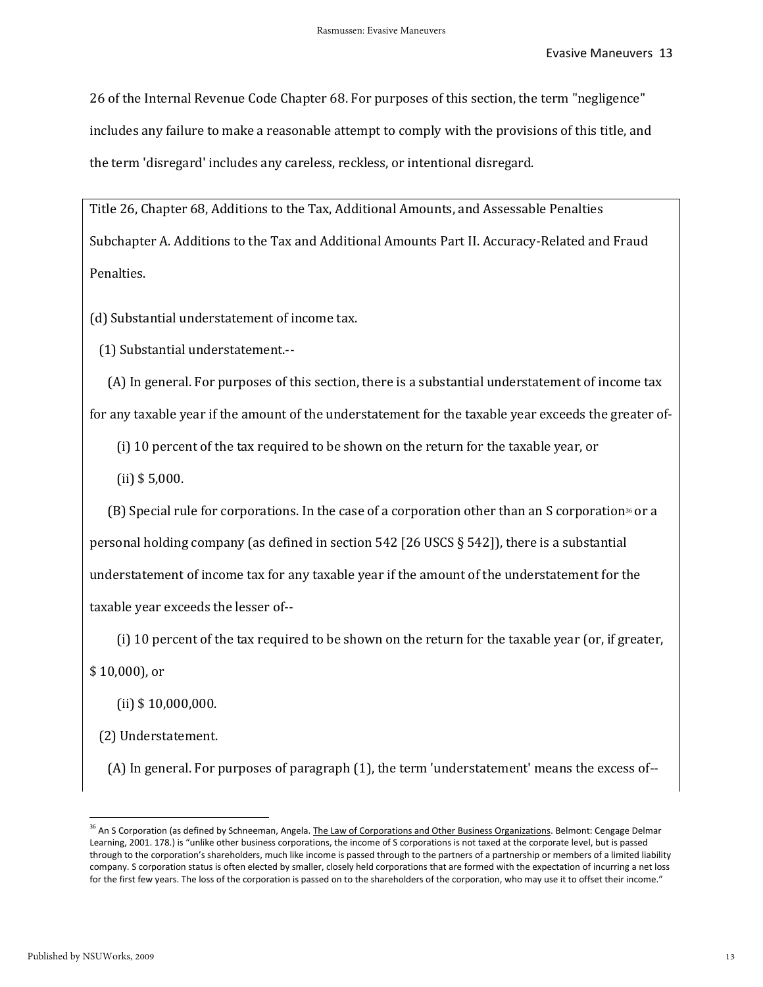26 of the Internal Revenue Code Chapter 68. For purposes of this section, the term "negligence" includes any failure to make a reasonable attempt to comply with the provisions of this title, and the term 'disregard' includes any careless, reckless, or intentional disregard.

Title 26, Chapter 68, Additions to the Tax, Additional Amounts, and Assessable Penalties Subchapter A. Additions to the Tax and Additional Amounts Part II. Accuracy-Related and Fraud Penalties.

(d) Substantial understatement of income tax.

(1) Substantial understatement.--

 (A) In general. For purposes of this section, there is a substantial understatement of income tax for any taxable year if the amount of the understatement for the taxable year exceeds the greater of-

(i) 10 percent of the tax required to be shown on the return for the taxable year, or

(ii) \$ 5,000.

 $(B)$  Special rule for corporations. In the case of a corporation other than an S corporation<sup>36</sup> or a personal holding company (as defined in section 542 [26 USCS § 542]), there is a substantial understatement of income tax for any taxable year if the amount of the understatement for the taxable year exceeds the lesser of--

(i) 10 percent of the tax required to be shown on the return for the taxable year (or, if greater,

\$ 10,000), or

(ii) \$ 10,000,000.

(2) Understatement.

(A) In general. For purposes of paragraph (1), the term 'understatement' means the excess of--

<sup>&</sup>lt;sup>36</sup> An S Corporation (as defined by Schneeman, Angela. The Law of Corporations and Other Business Organizations. Belmont: Cengage Delmar Learning, 2001. 178.) is "unlike other business corporations, the income of S corporations is not taxed at the corporate level, but is passed through to the corporation's shareholders, much like income is passed through to the partners of a partnership or members of a limited liability company. S corporation status is often elected by smaller, closely held corporations that are formed with the expectation of incurring a net loss for the first few years. The loss of the corporation is passed on to the shareholders of the corporation, who may use it to offset their income."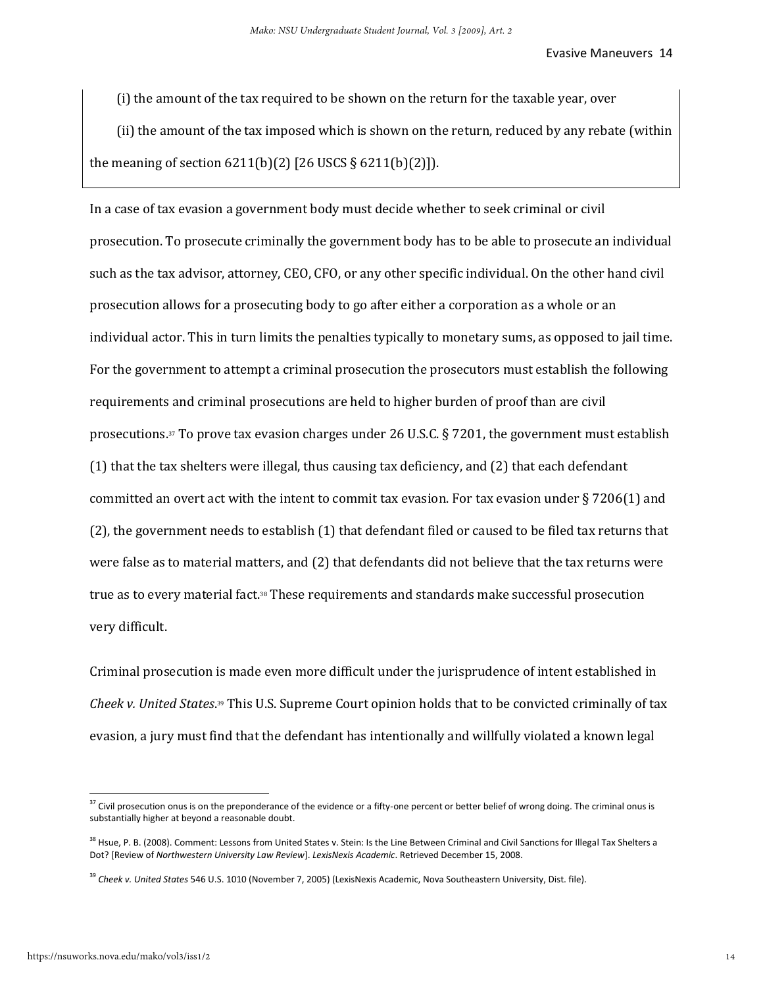(i) the amount of the tax required to be shown on the return for the taxable year, over

 (ii) the amount of the tax imposed which is shown on the return, reduced by any rebate (within the meaning of section  $6211(b)(2)$  [26 USCS §  $6211(b)(2)$ ]).

In a case of tax evasion a government body must decide whether to seek criminal or civil prosecution. To prosecute criminally the government body has to be able to prosecute an individual such as the tax advisor, attorney, CEO, CFO, or any other specific individual. On the other hand civil prosecution allows for a prosecuting body to go after either a corporation as a whole or an individual actor. This in turn limits the penalties typically to monetary sums, as opposed to jail time. For the government to attempt a criminal prosecution the prosecutors must establish the following requirements and criminal prosecutions are held to higher burden of proof than are civil prosecutions.37 To prove tax evasion charges under 26 U.S.C. § 7201, the government must establish (1) that the tax shelters were illegal, thus causing tax deficiency, and (2) that each defendant committed an overt act with the intent to commit tax evasion. For tax evasion under § 7206(1) and (2), the government needs to establish (1) that defendant filed or caused to be filed tax returns that were false as to material matters, and (2) that defendants did not believe that the tax returns were true as to every material fact.38 These requirements and standards make successful prosecution very difficult.

Criminal prosecution is made even more difficult under the jurisprudence of intent established in *Cheek v. United States*. <sup>39</sup> This U.S. Supreme Court opinion holds that to be convicted criminally of tax evasion, a jury must find that the defendant has intentionally and willfully violated a known legal

<sup>&</sup>lt;sup>37</sup> Civil prosecution onus is on the preponderance of the evidence or a fifty-one percent or better belief of wrong doing. The criminal onus is substantially higher at beyond a reasonable doubt.

<sup>&</sup>lt;sup>38</sup> Hsue, P. B. (2008). Comment: Lessons from United States v. Stein: Is the Line Between Criminal and Civil Sanctions for Illegal Tax Shelters a Dot? [Review of *Northwestern University Law Review*]. *LexisNexis Academic*. Retrieved December 15, 2008.

<sup>39</sup> *Cheek v. United States* 546 U.S. 1010 (November 7, 2005) (LexisNexis Academic, Nova Southeastern University, Dist. file).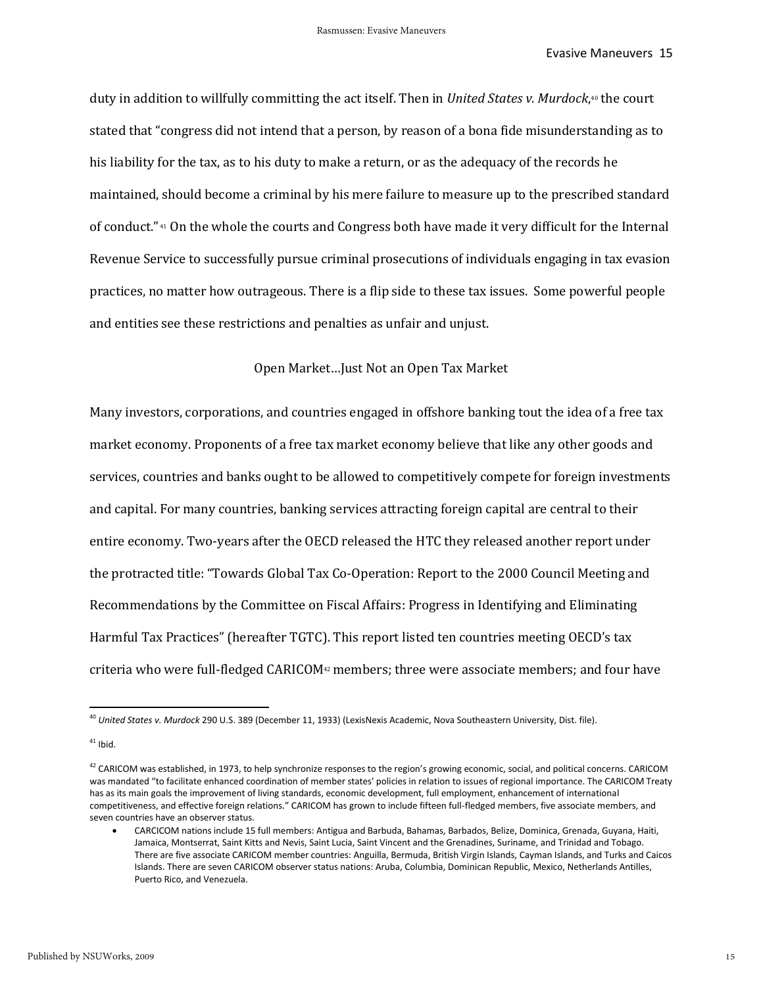duty in addition to willfully committing the act itself. Then in *United States v. Murdock*, <sup>40</sup> the court stated that "congress did not intend that a person, by reason of a bona fide misunderstanding as to his liability for the tax, as to his duty to make a return, or as the adequacy of the records he maintained, should become a criminal by his mere failure to measure up to the prescribed standard of conduct." <sup>41</sup> On the whole the courts and Congress both have made it very difficult for the Internal Revenue Service to successfully pursue criminal prosecutions of individuals engaging in tax evasion practices, no matter how outrageous. There is a flip side to these tax issues. Some powerful people and entities see these restrictions and penalties as unfair and unjust.

#### Open Market…Just Not an Open Tax Market

Many investors, corporations, and countries engaged in offshore banking tout the idea of a free tax market economy. Proponents of a free tax market economy believe that like any other goods and services, countries and banks ought to be allowed to competitively compete for foreign investments and capital. For many countries, banking services attracting foreign capital are central to their entire economy. Two-years after the OECD released the HTC they released another report under the protracted title: "Towards Global Tax Co-Operation: Report to the 2000 Council Meeting and Recommendations by the Committee on Fiscal Affairs: Progress in Identifying and Eliminating Harmful Tax Practices" (hereafter TGTC). This report listed ten countries meeting OECD's tax criteria who were full-fledged CARICOM<sup>42</sup> members; three were associate members; and four have

<sup>40</sup> *United States v. Murdock* 290 U.S. 389 (December 11, 1933) (LexisNexis Academic, Nova Southeastern University, Dist. file).

 $41$  Ibid.

 $^{42}$  CARICOM was established, in 1973, to help synchronize responses to the region's growing economic, social, and political concerns. CARICOM was mandated "to facilitate enhanced coordination of member states' policies in relation to issues of regional importance. The CARICOM Treaty has as its main goals the improvement of living standards, economic development, full employment, enhancement of international competitiveness, and effective foreign relations." CARICOM has grown to include fifteen full-fledged members, five associate members, and seven countries have an observer status.

CARCICOM nations include 15 full members: Antigua and Barbuda, Bahamas, Barbados, Belize, Dominica, Grenada, Guyana, Haiti, Jamaica, Montserrat, Saint Kitts and Nevis, Saint Lucia, Saint Vincent and the Grenadines, Suriname, and Trinidad and Tobago. There are five associate CARICOM member countries: Anguilla, Bermuda, British Virgin Islands, Cayman Islands, and Turks and Caicos Islands. There are seven CARICOM observer status nations: Aruba, Columbia, Dominican Republic, Mexico, Netherlands Antilles, Puerto Rico, and Venezuela.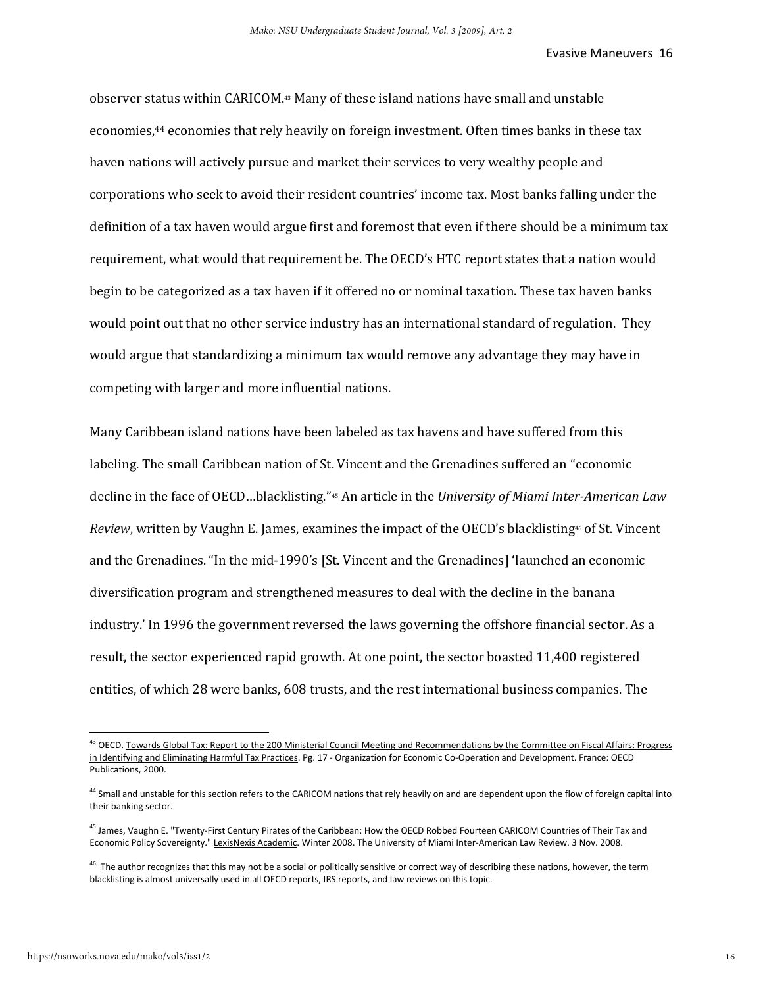observer status within CARICOM.43 Many of these island nations have small and unstable economies,<sup>44</sup> economies that rely heavily on foreign investment. Often times banks in these tax haven nations will actively pursue and market their services to very wealthy people and corporations who seek to avoid their resident countries' income tax. Most banks falling under the definition of a tax haven would argue first and foremost that even if there should be a minimum tax requirement, what would that requirement be. The OECD's HTC report states that a nation would begin to be categorized as a tax haven if it offered no or nominal taxation. These tax haven banks would point out that no other service industry has an international standard of regulation. They would argue that standardizing a minimum tax would remove any advantage they may have in competing with larger and more influential nations.

Many Caribbean island nations have been labeled as tax havens and have suffered from this labeling. The small Caribbean nation of St. Vincent and the Grenadines suffered an "economic decline in the face of OECD…blacklisting."45 An article in the *University of Miami Inter-American Law Review*, written by Vaughn E. James, examines the impact of the OECD's blacklisting<sup>46</sup> of St. Vincent and the Grenadines. "In the mid-1990's [St. Vincent and the Grenadines] 'launched an economic diversification program and strengthened measures to deal with the decline in the banana industry.' In 1996 the government reversed the laws governing the offshore financial sector. As a result, the sector experienced rapid growth. At one point, the sector boasted 11,400 registered entities, of which 28 were banks, 608 trusts, and the rest international business companies. The

<sup>&</sup>lt;sup>43</sup> OECD. Towards Global Tax: Report to the 200 Ministerial Council Meeting and Recommendations by the Committee on Fiscal Affairs: Progress in Identifying and Eliminating Harmful Tax Practices. Pg. 17 - Organization for Economic Co-Operation and Development. France: OECD Publications, 2000.

<sup>&</sup>lt;sup>44</sup> Small and unstable for this section refers to the CARICOM nations that rely heavily on and are dependent upon the flow of foreign capital into their banking sector.

<sup>&</sup>lt;sup>45</sup> James, Vaughn E. "Twenty-First Century Pirates of the Caribbean: How the OECD Robbed Fourteen CARICOM Countries of Their Tax and Economic Policy Sovereignty." LexisNexis Academic. Winter 2008. The University of Miami Inter-American Law Review. 3 Nov. 2008.

 $46$  The author recognizes that this may not be a social or politically sensitive or correct way of describing these nations, however, the term blacklisting is almost universally used in all OECD reports, IRS reports, and law reviews on this topic.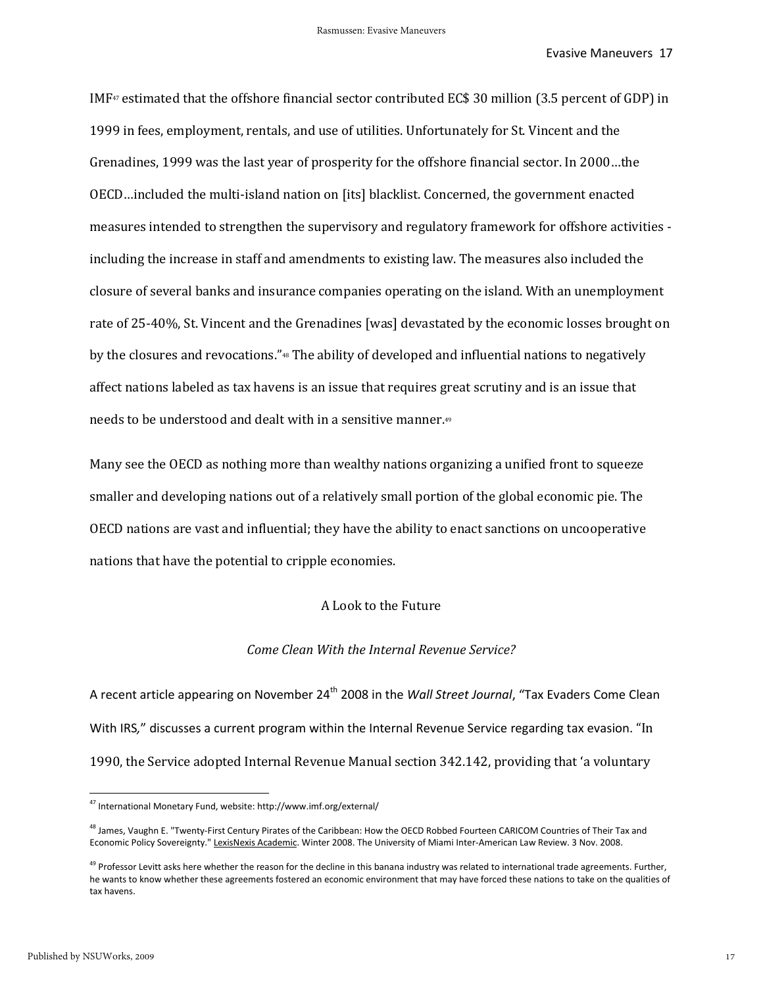IMF<sup>47</sup> estimated that the offshore financial sector contributed EC\$ 30 million (3.5 percent of GDP) in 1999 in fees, employment, rentals, and use of utilities. Unfortunately for St. Vincent and the Grenadines, 1999 was the last year of prosperity for the offshore financial sector. In 2000…the OECD…included the multi-island nation on [its] blacklist. Concerned, the government enacted measures intended to strengthen the supervisory and regulatory framework for offshore activities including the increase in staff and amendments to existing law. The measures also included the closure of several banks and insurance companies operating on the island. With an unemployment rate of 25-40%, St. Vincent and the Grenadines [was] devastated by the economic losses brought on by the closures and revocations."48 The ability of developed and influential nations to negatively affect nations labeled as tax havens is an issue that requires great scrutiny and is an issue that needs to be understood and dealt with in a sensitive manner.<sup>49</sup>

Many see the OECD as nothing more than wealthy nations organizing a unified front to squeeze smaller and developing nations out of a relatively small portion of the global economic pie. The OECD nations are vast and influential; they have the ability to enact sanctions on uncooperative nations that have the potential to cripple economies.

### A Look to the Future

#### *Come Clean With the Internal Revenue Service?*

A recent article appearing on November 24th 2008 in the *Wall Street Journal*, "Tax Evaders Come Clean With IRS*,*" discusses a current program within the Internal Revenue Service regarding tax evasion. "In 1990, the Service adopted Internal Revenue Manual section 342.142, providing that 'a voluntary

<sup>47</sup> International Monetary Fund, website: http://www.imf.org/external/

<sup>&</sup>lt;sup>48</sup> James, Vaughn E. "Twenty-First Century Pirates of the Caribbean: How the OECD Robbed Fourteen CARICOM Countries of Their Tax and Economic Policy Sovereignty." LexisNexis Academic. Winter 2008. The University of Miami Inter-American Law Review. 3 Nov. 2008.

<sup>&</sup>lt;sup>49</sup> Professor Levitt asks here whether the reason for the decline in this banana industry was related to international trade agreements. Further, he wants to know whether these agreements fostered an economic environment that may have forced these nations to take on the qualities of tax havens.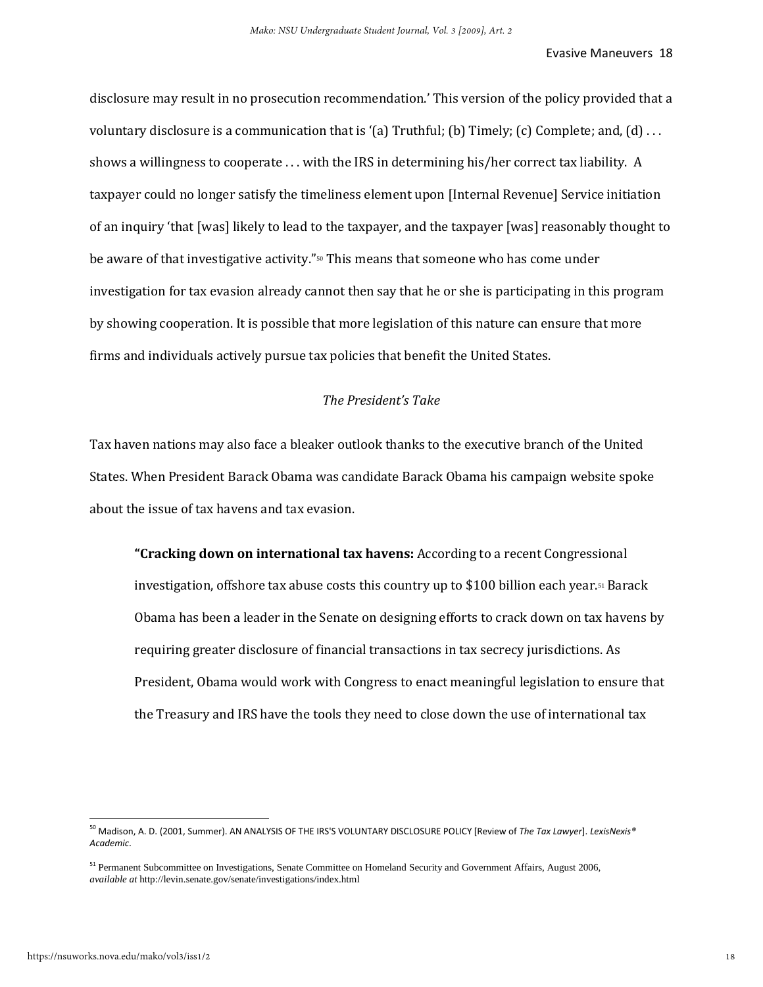disclosure may result in no prosecution recommendation.' This version of the policy provided that a voluntary disclosure is a communication that is '(a) Truthful; (b) Timely; (c) Complete; and, (d) ... shows a willingness to cooperate . . . with the IRS in determining his/her correct tax liability. A taxpayer could no longer satisfy the timeliness element upon [Internal Revenue] Service initiation of an inquiry 'that [was] likely to lead to the taxpayer, and the taxpayer [was] reasonably thought to be aware of that investigative activity."50 This means that someone who has come under investigation for tax evasion already cannot then say that he or she is participating in this program by showing cooperation. It is possible that more legislation of this nature can ensure that more firms and individuals actively pursue tax policies that benefit the United States.

# *The President's Take*

Tax haven nations may also face a bleaker outlook thanks to the executive branch of the United States. When President Barack Obama was candidate Barack Obama his campaign website spoke about the issue of tax havens and tax evasion.

**"Cracking down on international tax havens:** According to a recent Congressional investigation, offshore tax abuse costs this country up to \$100 billion each year.<sup>51</sup> Barack Obama has been a leader in the Senate on designing efforts to crack down on tax havens by requiring greater disclosure of financial transactions in tax secrecy jurisdictions. As President, Obama would work with Congress to enact meaningful legislation to ensure that the Treasury and IRS have the tools they need to close down the use of international tax

<sup>50</sup> Madison, A. D. (2001, Summer). AN ANALYSIS OF THE IRS'S VOLUNTARY DISCLOSURE POLICY [Review of *The Tax Lawyer*]. *LexisNexis® Academic*.

<sup>&</sup>lt;sup>51</sup> Permanent Subcommittee on Investigations, Senate Committee on Homeland Security and Government Affairs, August 2006, *available at* http://levin.senate.gov/senate/investigations/index.html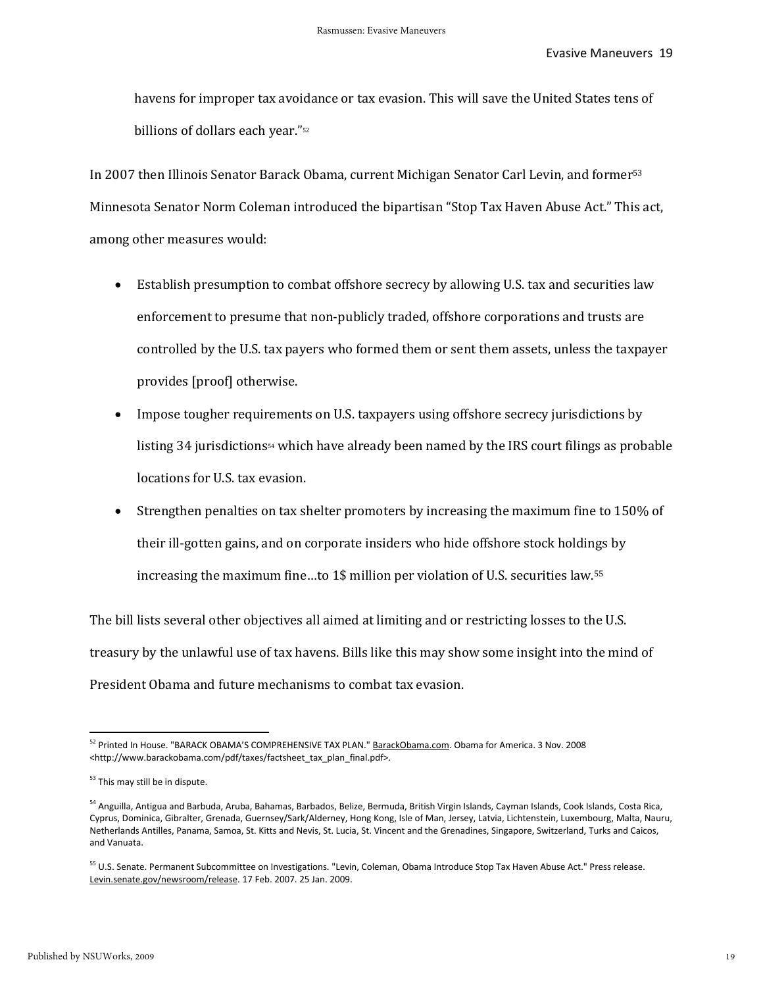havens for improper tax avoidance or tax evasion. This will save the United States tens of billions of dollars each year."<sup>52</sup>

In 2007 then Illinois Senator Barack Obama, current Michigan Senator Carl Levin, and former<sup>53</sup> Minnesota Senator Norm Coleman introduced the bipartisan "Stop Tax Haven Abuse Act." This act, among other measures would:

- Establish presumption to combat offshore secrecy by allowing U.S. tax and securities law enforcement to presume that non-publicly traded, offshore corporations and trusts are controlled by the U.S. tax payers who formed them or sent them assets, unless the taxpayer provides [proof] otherwise.
- Impose tougher requirements on U.S. taxpayers using offshore secrecy jurisdictions by listing 34 jurisdictions<sup>54</sup> which have already been named by the IRS court filings as probable locations for U.S. tax evasion.
- Strengthen penalties on tax shelter promoters by increasing the maximum fine to 150% of their ill-gotten gains, and on corporate insiders who hide offshore stock holdings by increasing the maximum fine…to 1\$ million per violation of U.S. securities law.<sup>55</sup>

The bill lists several other objectives all aimed at limiting and or restricting losses to the U.S. treasury by the unlawful use of tax havens. Bills like this may show some insight into the mind of President Obama and future mechanisms to combat tax evasion.

<sup>&</sup>lt;sup>52</sup> Printed In House. "BARACK OBAMA'S COMPREHENSIVE TAX PLAN." **BarackObama.com. Obama for America. 3 Nov. 2008** <http://www.barackobama.com/pdf/taxes/factsheet\_tax\_plan\_final.pdf>.

<sup>&</sup>lt;sup>53</sup> This may still be in dispute.

<sup>54</sup> Anguilla, Antigua and Barbuda, Aruba, Bahamas, Barbados, Belize, Bermuda, British Virgin Islands, Cayman Islands, Cook Islands, Costa Rica, Cyprus, Dominica, Gibralter, Grenada, Guernsey/Sark/Alderney, Hong Kong, Isle of Man, Jersey, Latvia, Lichtenstein, Luxembourg, Malta, Nauru, Netherlands Antilles, Panama, Samoa, St. Kitts and Nevis, St. Lucia, St. Vincent and the Grenadines, Singapore, Switzerland, Turks and Caicos, and Vanuata.

<sup>&</sup>lt;sup>55</sup> U.S. Senate. Permanent Subcommittee on Investigations. "Levin, Coleman, Obama Introduce Stop Tax Haven Abuse Act." Press release. Levin.senate.gov/newsroom/release. 17 Feb. 2007. 25 Jan. 2009.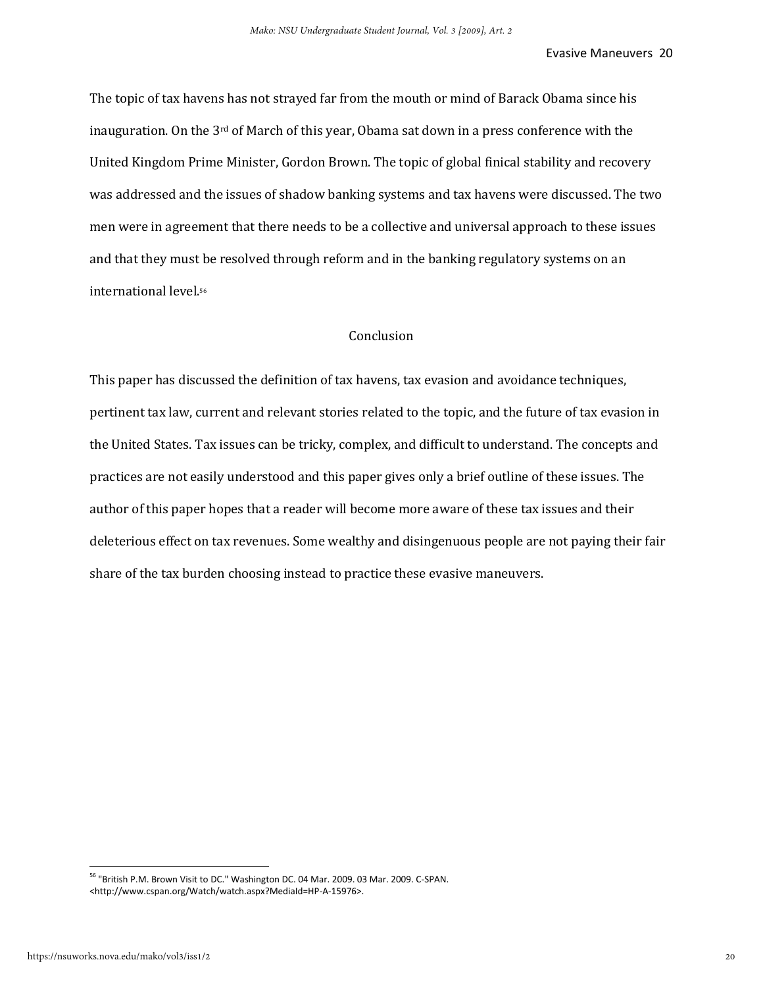The topic of tax havens has not strayed far from the mouth or mind of Barack Obama since his inauguration. On the 3rd of March of this year, Obama sat down in a press conference with the United Kingdom Prime Minister, Gordon Brown. The topic of global finical stability and recovery was addressed and the issues of shadow banking systems and tax havens were discussed. The two men were in agreement that there needs to be a collective and universal approach to these issues and that they must be resolved through reform and in the banking regulatory systems on an international level.<sup>56</sup>

# Conclusion

This paper has discussed the definition of tax havens, tax evasion and avoidance techniques, pertinent tax law, current and relevant stories related to the topic, and the future of tax evasion in the United States. Tax issues can be tricky, complex, and difficult to understand. The concepts and practices are not easily understood and this paper gives only a brief outline of these issues. The author of this paper hopes that a reader will become more aware of these tax issues and their deleterious effect on tax revenues. Some wealthy and disingenuous people are not paying their fair share of the tax burden choosing instead to practice these evasive maneuvers.

<sup>&</sup>lt;sup>56</sup> "British P.M. Brown Visit to DC." Washington DC. 04 Mar. 2009. 03 Mar. 2009. C-SPAN. <http://www.cspan.org/Watch/watch.aspx?MediaId=HP-A-15976>.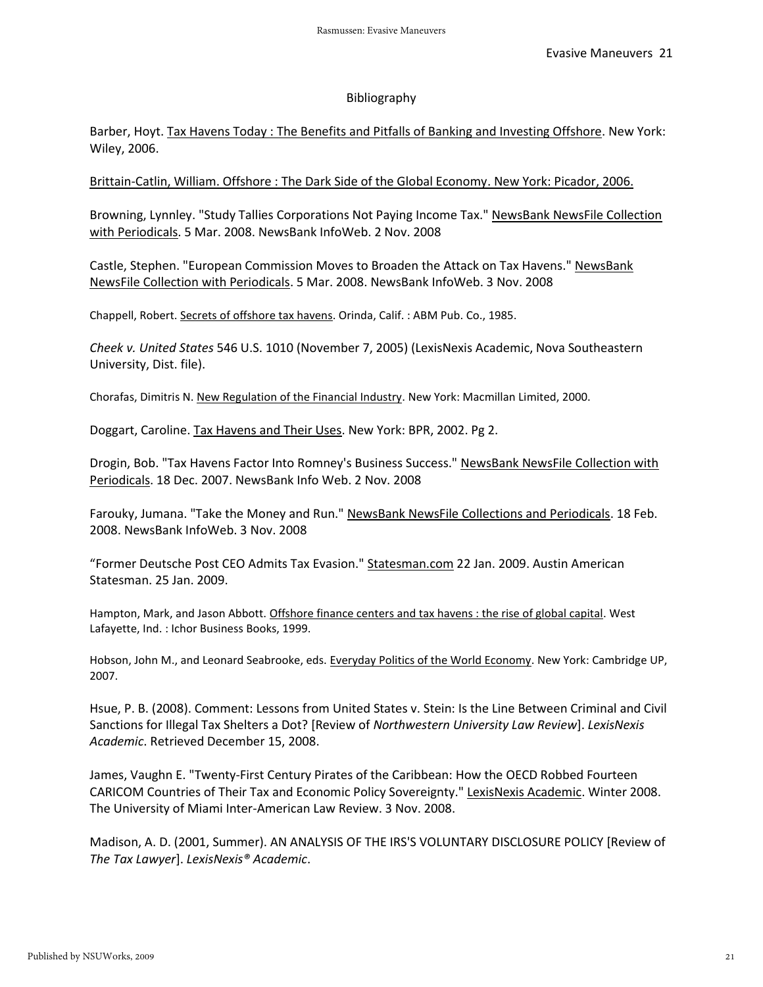#### Bibliography

Barber, Hoyt. Tax Havens Today : The Benefits and Pitfalls of Banking and Investing Offshore. New York: Wiley, 2006.

Brittain-Catlin, William. Offshore : The Dark Side of the Global Economy. New York: Picador, 2006.

Browning, Lynnley. "Study Tallies Corporations Not Paying Income Tax." NewsBank NewsFile Collection with Periodicals. 5 Mar. 2008. NewsBank InfoWeb. 2 Nov. 2008

Castle, Stephen. "European Commission Moves to Broaden the Attack on Tax Havens." NewsBank NewsFile Collection with Periodicals. 5 Mar. 2008. NewsBank InfoWeb. 3 Nov. 2008

Chappell, Robert. Secrets of offshore tax havens. Orinda, Calif. : ABM Pub. Co., 1985.

*Cheek v. United States* 546 U.S. 1010 (November 7, 2005) (LexisNexis Academic, Nova Southeastern University, Dist. file).

Chorafas, Dimitris N. New Regulation of the Financial Industry. New York: Macmillan Limited, 2000.

Doggart, Caroline. Tax Havens and Their Uses. New York: BPR, 2002. Pg 2.

Drogin, Bob. "Tax Havens Factor Into Romney's Business Success." NewsBank NewsFile Collection with Periodicals. 18 Dec. 2007. NewsBank Info Web. 2 Nov. 2008

Farouky, Jumana. "Take the Money and Run." NewsBank NewsFile Collections and Periodicals. 18 Feb. 2008. NewsBank InfoWeb. 3 Nov. 2008

"Former Deutsche Post CEO Admits Tax Evasion." Statesman.com 22 Jan. 2009. Austin American Statesman. 25 Jan. 2009.

Hampton, Mark, and Jason Abbott. Offshore finance centers and tax havens : the rise of global capital. West Lafayette, Ind. : Ichor Business Books, 1999.

Hobson, John M., and Leonard Seabrooke, eds. Everyday Politics of the World Economy. New York: Cambridge UP, 2007.

Hsue, P. B. (2008). Comment: Lessons from United States v. Stein: Is the Line Between Criminal and Civil Sanctions for Illegal Tax Shelters a Dot? [Review of *Northwestern University Law Review*]. *LexisNexis Academic*. Retrieved December 15, 2008.

James, Vaughn E. "Twenty-First Century Pirates of the Caribbean: How the OECD Robbed Fourteen CARICOM Countries of Their Tax and Economic Policy Sovereignty." LexisNexis Academic. Winter 2008. The University of Miami Inter-American Law Review. 3 Nov. 2008.

Madison, A. D. (2001, Summer). AN ANALYSIS OF THE IRS'S VOLUNTARY DISCLOSURE POLICY [Review of *The Tax Lawyer*]. *LexisNexis® Academic*.